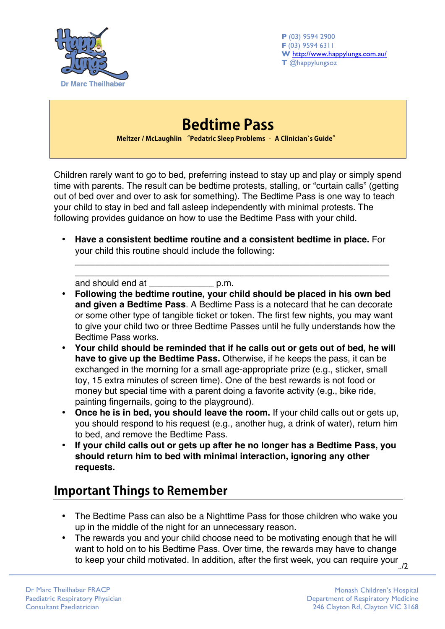

**P** (03) 9594 2900 **F** (03) 9594 6311 **W** http://www.happylungs.com.au/ **T** @happylungsoz

## **Bedtime Pass Meltzer / McLaughlin "Pedatric Sleep Problems – A Clinician`s Guide"**

Children rarely want to go to bed, preferring instead to stay up and play or simply spend time with parents. The result can be bedtime protests, stalling, or "curtain calls" (getting out of bed over and over to ask for something). The Bedtime Pass is one way to teach your child to stay in bed and fall asleep independently with minimal protests. The following provides guidance on how to use the Bedtime Pass with your child.

• **Have a consistent bedtime routine and a consistent bedtime in place.** For your child this routine should include the following:

\_\_\_\_\_\_\_\_\_\_\_\_\_\_\_\_\_\_\_\_\_\_\_\_\_\_\_\_\_\_\_\_\_\_\_\_\_\_\_\_\_\_\_\_\_\_\_\_\_\_\_\_\_\_\_\_\_\_\_\_\_\_\_ \_\_\_\_\_\_\_\_\_\_\_\_\_\_\_\_\_\_\_\_\_\_\_\_\_\_\_\_\_\_\_\_\_\_\_\_\_\_\_\_\_\_\_\_\_\_\_\_\_\_\_\_\_\_\_\_\_\_\_\_\_\_\_

and should end at \_\_\_\_\_\_\_\_\_\_\_\_\_ p.m.

- **Following the bedtime routine, your child should be placed in his own bed and given a Bedtime Pass**. A Bedtime Pass is a notecard that he can decorate or some other type of tangible ticket or token. The first few nights, you may want to give your child two or three Bedtime Passes until he fully understands how the Bedtime Pass works.
- **Your child should be reminded that if he calls out or gets out of bed, he will have to give up the Bedtime Pass.** Otherwise, if he keeps the pass, it can be exchanged in the morning for a small age-appropriate prize (e.g., sticker, small toy, 15 extra minutes of screen time). One of the best rewards is not food or money but special time with a parent doing a favorite activity (e.g., bike ride, painting fingernails, going to the playground).
- **Once he is in bed, you should leave the room.** If your child calls out or gets up, you should respond to his request (e.g., another hug, a drink of water), return him to bed, and remove the Bedtime Pass.
- **If your child calls out or gets up after he no longer has a Bedtime Pass, you should return him to bed with minimal interaction, ignoring any other requests.**

## **Important Things to Remember**

- The Bedtime Pass can also be a Nighttime Pass for those children who wake you up in the middle of the night for an unnecessary reason.
- to keep your child motivated. In addition, after the first week, you can require your ../2<br>2/. • The rewards you and your child choose need to be motivating enough that he will want to hold on to his Bedtime Pass. Over time, the rewards may have to change